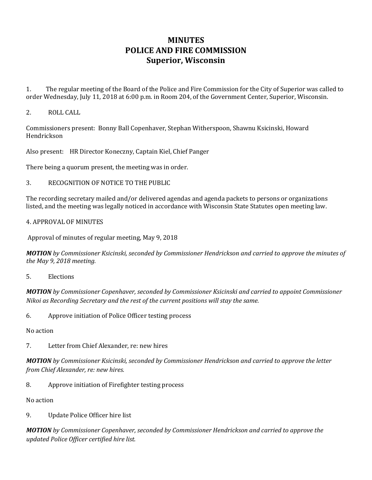## **MINUTES POLICE AND FIRE COMMISSION Superior, Wisconsin**

1. The regular meeting of the Board of the Police and Fire Commission for the City of Superior was called to order Wednesday, July 11, 2018 at 6:00 p.m. in Room 204, of the Government Center, Superior, Wisconsin.

## 2. ROLL CALL

Commissioners present: Bonny Ball Copenhaver, Stephan Witherspoon, Shawnu Ksicinski, Howard Hendrickson

Also present: HR Director Koneczny, Captain Kiel, Chief Panger

There being a quorum present, the meeting was in order.

3. RECOGNITION OF NOTICE TO THE PUBLIC

The recording secretary mailed and/or delivered agendas and agenda packets to persons or organizations listed, and the meeting was legally noticed in accordance with Wisconsin State Statutes open meeting law.

## 4. APPROVAL OF MINUTES

Approval of minutes of regular meeting, May 9, 2018

*MOTION by Commissioner Ksicinski, seconded by Commissioner Hendrickson and carried to approve the minutes of the May 9, 2018 meeting.* 

5. Elections

*MOTION by Commissioner Copenhaver, seconded by Commissioner Ksicinski and carried to appoint Commissioner Nikoi as Recording Secretary and the rest of the current positions will stay the same.* 

6. Approve initiation of Police Officer testing process

No action

7. Letter from Chief Alexander, re: new hires

*MOTION by Commissioner Ksicinski, seconded by Commissioner Hendrickson and carried to approve the letter from Chief Alexander, re: new hires.* 

8. Approve initiation of Firefighter testing process

No action

9. Update Police Officer hire list

*MOTION by Commissioner Copenhaver, seconded by Commissioner Hendrickson and carried to approve the updated Police Officer certified hire list.*